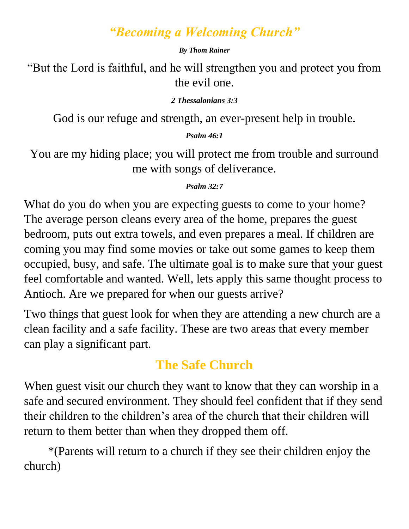#### *"Becoming a Welcoming Church"*

#### *By Thom Rainer*

"But the Lord is faithful, and he will strengthen you and protect you from the evil one.

#### *2 Thessalonians 3:3*

God is our refuge and strength, an ever-present help in trouble.

#### *Psalm 46:1*

You are my hiding place; you will protect me from trouble and surround me with songs of deliverance.

#### *Psalm 32:7*

What do you do when you are expecting guests to come to your home? The average person cleans every area of the home, prepares the guest bedroom, puts out extra towels, and even prepares a meal. If children are coming you may find some movies or take out some games to keep them occupied, busy, and safe. The ultimate goal is to make sure that your guest feel comfortable and wanted. Well, lets apply this same thought process to Antioch. Are we prepared for when our guests arrive?

Two things that guest look for when they are attending a new church are a clean facility and a safe facility. These are two areas that every member can play a significant part.

### **The Safe Church**

When guest visit our church they want to know that they can worship in a safe and secured environment. They should feel confident that if they send their children to the children's area of the church that their children will return to them better than when they dropped them off.

\*(Parents will return to a church if they see their children enjoy the church)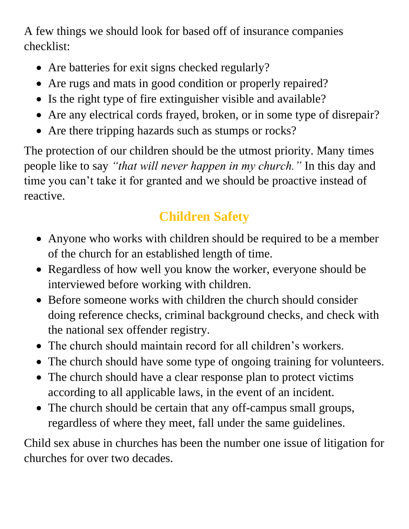A few things we should look for based off of insurance companies checklist:

- Are batteries for exit signs checked regularly?
- Are rugs and mats in good condition or properly repaired?
- Is the right type of fire extinguisher visible and available?
- Are any electrical cords frayed, broken, or in some type of disrepair?
- Are there tripping hazards such as stumps or rocks?

The protection of our children should be the utmost priority. Many times people like to say *"that will never happen in my church."* In this day and time you can't take it for granted and we should be proactive instead of reactive.

# **Children Safety**

- Anyone who works with children should be required to be a member of the church for an established length of time.
- Regardless of how well you know the worker, everyone should be interviewed before working with children.
- Before someone works with children the church should consider doing reference checks, criminal background checks, and check with the national sex offender registry.
- The church should maintain record for all children's workers.
- The church should have some type of ongoing training for volunteers.
- The church should have a clear response plan to protect victims according to all applicable laws, in the event of an incident.
- The church should be certain that any off-campus small groups, regardless of where they meet, fall under the same guidelines.

Child sex abuse in churches has been the number one issue of litigation for churches for over two decades.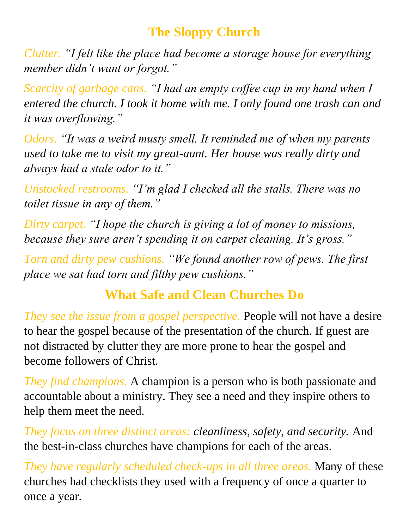### **The Sloppy Church**

*Clutter. "I felt like the place had become a storage house for everything member didn't want or forgot."*

*Scarcity of garbage cans. "I had an empty coffee cup in my hand when I entered the church. I took it home with me. I only found one trash can and it was overflowing."*

*Odors. "It was a weird musty smell. It reminded me of when my parents used to take me to visit my great-aunt. Her house was really dirty and always had a stale odor to it."* 

*Unstocked restrooms. "I'm glad I checked all the stalls. There was no toilet tissue in any of them."* 

*Dirty carpet. "I hope the church is giving a lot of money to missions, because they sure aren't spending it on carpet cleaning. It's gross."*

*Torn and dirty pew cushions. "We found another row of pews. The first place we sat had torn and filthy pew cushions."*

### **What Safe and Clean Churches Do**

*They see the issue from a gospel perspective.* People will not have a desire to hear the gospel because of the presentation of the church. If guest are not distracted by clutter they are more prone to hear the gospel and become followers of Christ.

*They find champions.* A champion is a person who is both passionate and accountable about a ministry. They see a need and they inspire others to help them meet the need.

*They focus on three distinct areas: cleanliness, safety, and security.* And the best-in-class churches have champions for each of the areas.

*They have regularly scheduled check-ups in all three areas.* Many of these churches had checklists they used with a frequency of once a quarter to once a year.